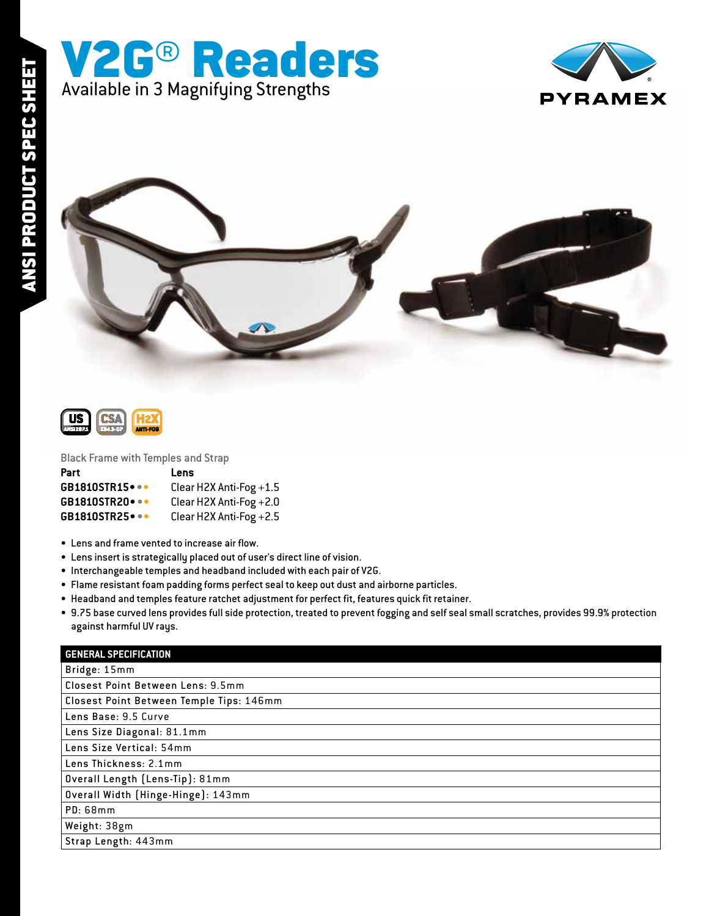



Black Frame with Temples and Strap

| Part                   | Lens                      |
|------------------------|---------------------------|
| <b>GB1810STR15 </b>    | Clear H2X Anti-Fog +1.5   |
| <b>GB1810STR20 •••</b> | Clear H2X Anti-Fog $+2.0$ |
| <b>GB1810STR25 </b>    | Clear H2X Anti-Fog $+2.5$ |

Available in 3 Magnifying Strengths

V2G® Readers

- Lens and frame vented to increase air flow.
- Lens insert is strategically placed out of user's direct line of vision.
- Interchangeable temples and headband included with each pair of V2G.
- Flame resistant foam padding forms perfect seal to keep out dust and airborne particles.
- Headband and temples feature ratchet adjustment for perfect fit, features quick fit retainer.
- 9.75 base curved lens provides full side protection, treated to prevent fogging and self seal small scratches, provides 99.9% protection against harmful UV rays.

| <b>GENERAL SPECIFICATION</b>             |
|------------------------------------------|
| Bridge: 15mm                             |
| Closest Point Between Lens: 9.5mm        |
| Closest Point Between Temple Tips: 146mm |
| Lens Base: 9.5 Curve                     |
| Lens Size Diagonal: 81.1mm               |
| Lens Size Vertical: 54mm                 |
| Lens Thickness: 2.1mm                    |
| Overall Length (Lens-Tip): 81mm          |
| Overall Width (Hinge-Hinge): 143mm       |
| <b>PD: 68mm</b>                          |
| Weight: 38gm                             |
| Strap Length: 443mm                      |